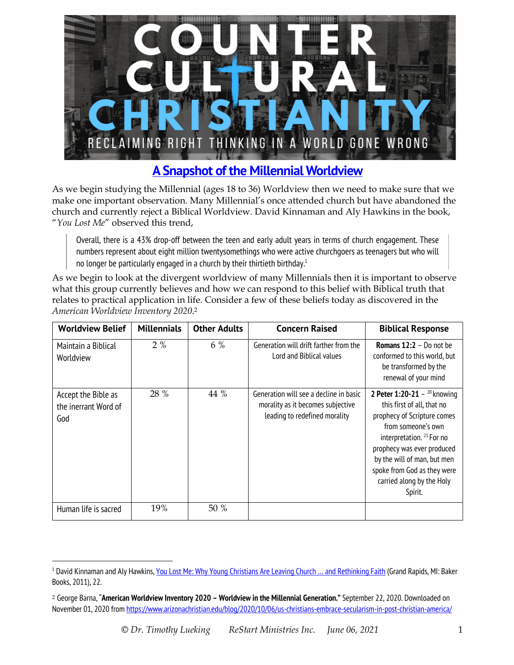

## **A Snapshot of the Millennial Worldview**

As we begin studying the Millennial (ages 18 to 36) Worldview then we need to make sure that we make one important observation. Many Millennial's once attended church but have abandoned the church and currently reject a Biblical Worldview. David Kinnaman and Aly Hawkins in the book, "*You Lost Me*" observed this trend,

Overall, there is a 43% drop-off between the teen and early adult years in terms of church engagement. These numbers represent about eight million twentysomethings who were active churchgoers as teenagers but who will no longer be particularly engaged in a church by their thirtieth birthday.<sup>1</sup>

As we begin to look at the divergent worldview of many Millennials then it is important to observe what this group currently believes and how we can respond to this belief with Biblical truth that relates to practical application in life. Consider a few of these beliefs today as discovered in the *American Worldview Inventory 2020*.2

| <b>Worldview Belief</b>                            | <b>Millennials</b> | <b>Other Adults</b> | <b>Concern Raised</b>                                                                                        | <b>Biblical Response</b>                                                                                                                                                                                                                                                                         |
|----------------------------------------------------|--------------------|---------------------|--------------------------------------------------------------------------------------------------------------|--------------------------------------------------------------------------------------------------------------------------------------------------------------------------------------------------------------------------------------------------------------------------------------------------|
| Maintain a Biblical<br>Worldview                   | 2%                 | 6 %                 | Generation will drift farther from the<br>Lord and Biblical values                                           | Romans 12:2 - Do not be<br>conformed to this world, but<br>be transformed by the<br>renewal of your mind                                                                                                                                                                                         |
| Accept the Bible as<br>the inerrant Word of<br>God | 28 %               | 44 %                | Generation will see a decline in basic<br>morality as it becomes subjective<br>leading to redefined morality | 2 Peter 1:20-21 - $^{20}$ knowing<br>this first of all, that no<br>prophecy of Scripture comes<br>from someone's own<br>interpretation. <sup>21</sup> For no<br>prophecy was ever produced<br>by the will of man, but men<br>spoke from God as they were<br>carried along by the Holy<br>Spirit. |
| Human life is sacred                               | 19%                | 50 %                |                                                                                                              |                                                                                                                                                                                                                                                                                                  |

<sup>&</sup>lt;sup>1</sup> David Kinnaman and Aly Hawkins, You Lost Me: Why Young Christians Are Leaving Church ... and Rethinking Faith (Grand Rapids, MI: Baker Books, 2011), 22.

<sup>2</sup> George Barna, "**American Worldview Inventory 2020 – Worldview in the Millennial Generation."** September 22, 2020. Downloaded on November 01, 2020 from https://www.arizonachristian.edu/blog/2020/10/06/us-christians-embrace-secularism-in-post-christian-america/